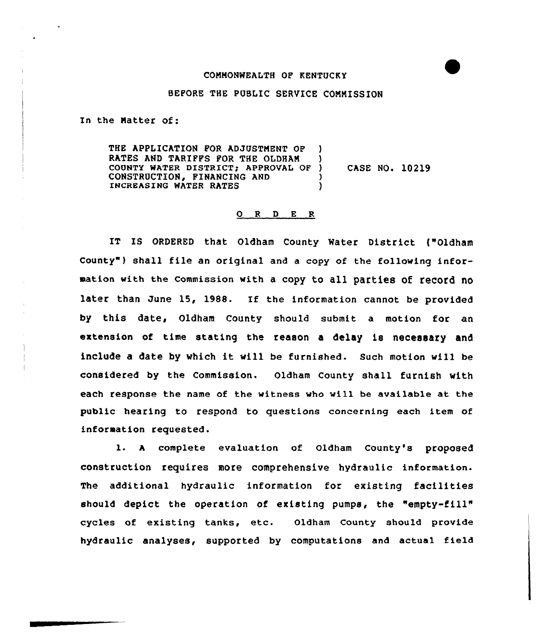## COMMONWEALTH OF KENTUCKY

## BEFORE THE PUBLIC SERVICE COMMISSION

In the Natter of:

THE APPLICATION POR ADJUSTMENT OP ) RATES AND TARIFFS FOR THE OLDHAM ) COUNTY WATER DISTRICT; APPROVAL OF ) CONSTRUCTION, FINANCING AND () INCREASING WATER RATES CASE NO. 10219

## O R D E R

IT IS ORDERED that Oldham County Hater District ("Oldham County" ) shall file an original and <sup>a</sup> copy of the following information with the commission with a copy to all parties of record no later than June 15, 1988. If the information cannot be provided by this date, Oldham County should submit a motion for an extension of time stating the reason a delay is necessary and include <sup>a</sup> date by which it vill be furnished. Such motion vill be considered by the Commission. Oldham County shall furnish with each response the name of the witness who will be available at the public hearing to respond to questions concerning each item of information requested.

l. <sup>A</sup> complete evaluation of oldham county's proposed construction requires more comprehensive hydraulic information. The additional hydraulic information for existing facilities should depict the operation of existing pumps, the "empty-fill" cycles of existing tanks, etc. Oldham County should provide hydraulic analyses, supported by computations and actual field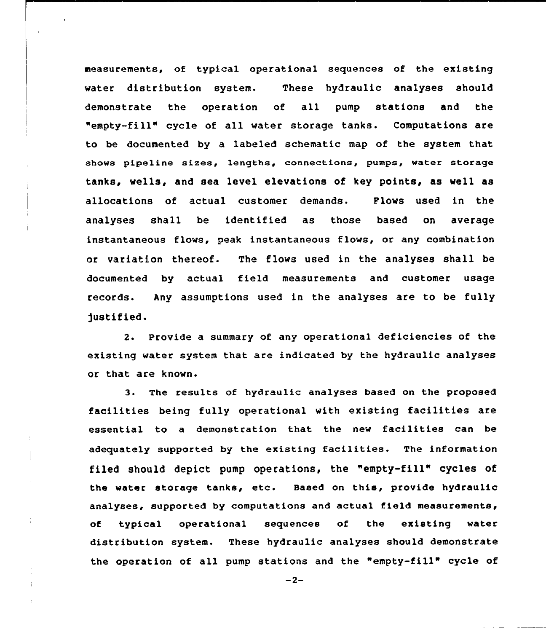measurements, of typical operational sequences of the existing water distribution system. These hydraulic analyses should demonstrate the operation of all pump stations and the "empty-fill" cycle of all water storage tanks. Computations are to be documented by a labeled schematic map of the system that shows pipeline sizes, lengths, connections, pumps, water storage tanks, wells, and sea level elevations of key points, as well as allocations of actual customer demands. Flows used in the analyses shall be identified as those based on averag instantaneous flows, peak instantaneous flows, or any combination or variation thereof. The flows used in the analyses shall be documented by actual field measurements and customer usage records. Any assumptions used in the analyses are to be fully )ustified.

2. Provide a summary of any operational deficiencies of the existing water system that are indicated by the hydraulic analyses or that are known.

3. The results of hydraulic analyses based on the proposed facilities being fully operational with existing facilities are essential to <sup>a</sup> demonstration that the new facilities can be adequately supported by the existing facilities. The information filed should depict pump operations, the "empty-fill" cycles of the water storage tanks, etc. Based on this, provide hydraulic analyses, supported by computations and actual field measurements, of typical operational sequences of the existing water distribution system. These hydraulic analyses should demonstrate the operation of all pump stations and the "empty-fill" cycle of

 $-2-$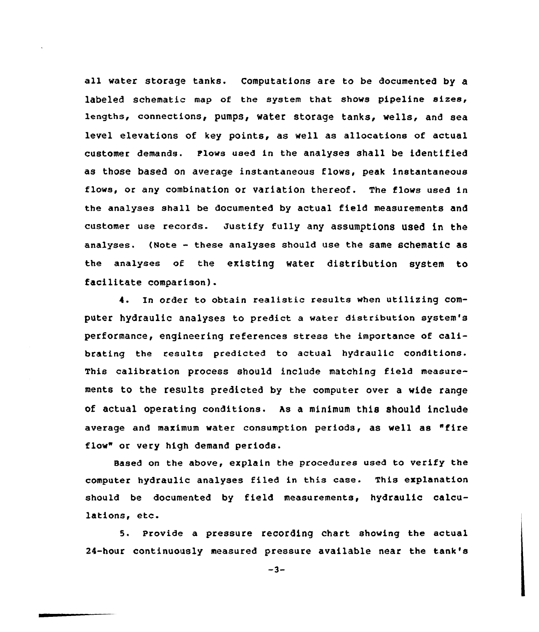all water storage tanks. Computations are to be documented by a labeled schematic map of the system that shows pipeline sizes, lengths, connections, pumps, water storage tanks, wells, and sea level elevations of key points, as well as allocations of actual customer demands. P'lows used in the analyses shall be identified as those based on average instantaneous flows, peak instantaneous flows, or any combination or variation thereof. The flows used in the analyses shall be documented by actual field measurements and customer use records. Justify fully any assumptions used in the analyses. (Note — these analyses should use the same schematic as the analyses of the existing water distribution system to facilitate comparison).

4. In order to obtain realistic results when utilizing computer hydraulic analyses to predict a water distribution system's performance, engineering references stress the importance of calibrating the results predicted to actual hydraulic conditions. This calibration process should include matching field measurements to the results predicted by the computer over a wide range of actual operating conditions. As a minimum this should include average and maximum water consumption periods, as well as "fire flow" or very high demand periods.

Based on the above, explain the procedures used to verify the computer hydraulic analyses filed in this case. This explanation should be documented by field measurements, hydraulic calculations, etc.

5. Provide a pressure recording chart showing the actual 24-hour continuously measured pressure available near the tank's

 $-3-$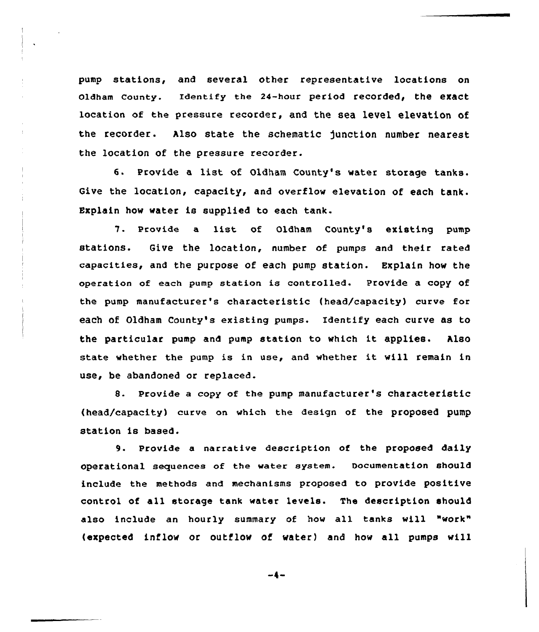pump stations, and several other representative locations on oldham county. Identify the 24-hour period recorded, the exact location of the pressure recorder, and the sea level elevation of the recorder. Also state the schematic junction number nearest the location of the pressure recorder.

6. Provide a list of Oldham County's water storage tanks. Give the location, capacity, and overflow elevation of each tank. Explain how water is supplied to each tank.

7. Provide <sup>a</sup> list of Oldham County's existing pump stations. Give the location, number of pumps and their rated capacities, and the purpose of each pump station. Explain how the operation of each pump station is controlled. Provide a copy of the pump manufacturer's characteristic (head/capacity) curve for each of Oldham County's existing pumps. Identify each curve as to the particular pump and pump station to which it applies. Also state whether the pump is in use, and whether it will remain in use, be abandoned or replaced.

8. Provide a copy of the pump manufacturer's characteristic (head/capacity) curve on which the design of the proposed pump station is based.

9. Provide a narrative description of the proposed daily operational sequences of the water system. oocumentation should include the methods and mechanisms proposed to provide positive control of all storage tank water levels. The description should also include an hourly summary of how all tanks will "work" (expected inflow or outflow of water) and how all pumps will

$$
-4-
$$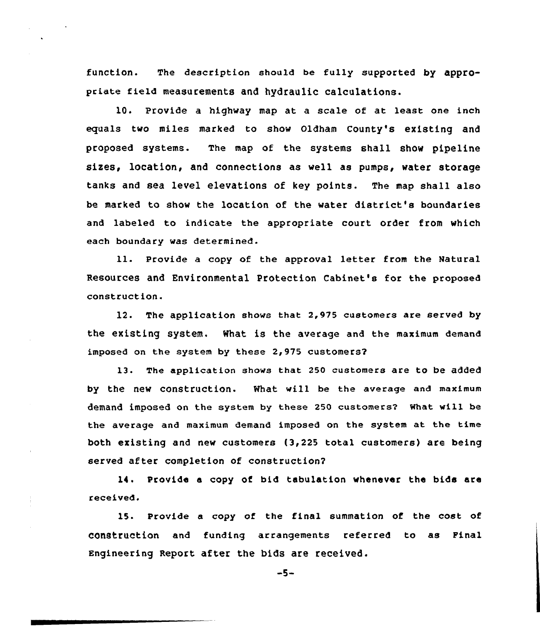function. The description should be fully supported by appropriate field measurements and hydraulic calculations.

10. Provide a highvay map at a scale of at least one inch equals two miles marked to show Oldham County's existing and proposed systems. The map of the systems shall show pipeline sizes, location, and connections as veil as pumps, water storage tanks and sea level elevations of key points. The map shall also be marked to show the location of the water district's boundaries and labeled to indicate the apptopriate court order from which each boundary was determined.

ll. Provide <sup>a</sup> copy of the approval letter from the Natural Resources and Environmental protection Cabinet's for the proposed construction.

12. The application shovs that 2,975 customers are served hy the existing system. What is the average and the maximum demand imposed on the system by these  $2,975$  customers?

13. The application shovs that 250 customers are to be added by the new construction. What will be the average and maximum demand imposed on the system by these 250 customers2 What vill be the average and maximum demand imposed on the system at the time both existing and new customers (3,225 total customers) are being served after completion of construction?

14. Provide e copy of bid tabulation whenever the bids are received.

15. Provide a copy of the final summation of the cost of Con8truction and funding arrangements referred to as Final Engineering Report after the bids are received.

 $-5-$